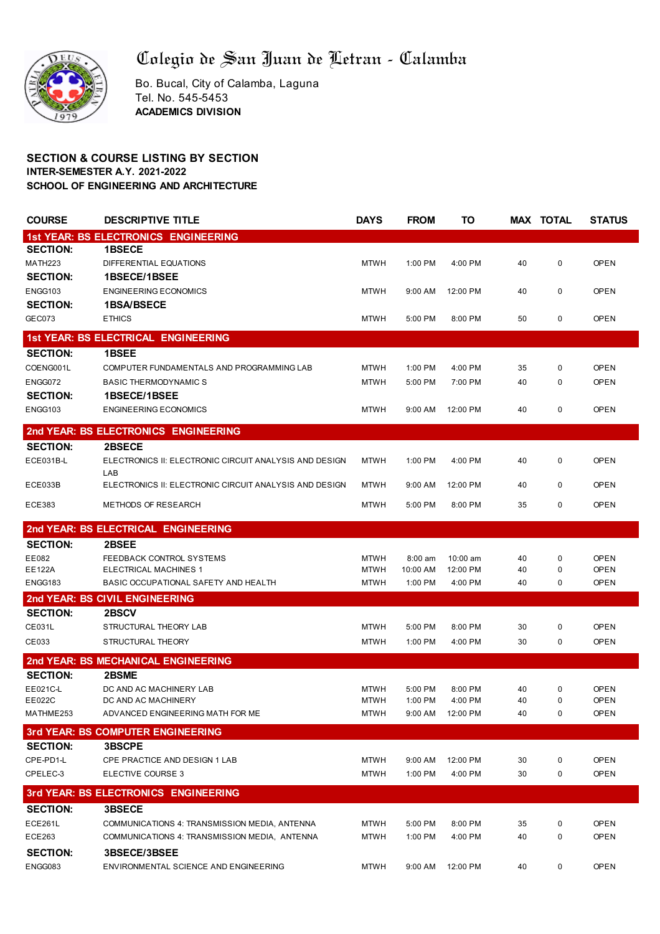## Colegio de San Juan de Letran - Calamba



Bo. Bucal, City of Calamba, Laguna Tel. No. 545-5453 **ACADEMICS DIVISION**

## **SECTION & COURSE LISTING BY SECTION INTER-SEMESTER A.Y. 2021-2022 SCHOOL OF ENGINEERING AND ARCHITECTURE**

| <b>COURSE</b>              | <b>DESCRIPTIVE TITLE</b>                                      | <b>DAYS</b> | <b>FROM</b> | TO               |    | <b>MAX TOTAL</b> | <b>STATUS</b> |
|----------------------------|---------------------------------------------------------------|-------------|-------------|------------------|----|------------------|---------------|
|                            | 1st YEAR: BS ELECTRONICS ENGINEERING                          |             |             |                  |    |                  |               |
| <b>SECTION:</b>            | 1BSECE                                                        |             |             |                  |    |                  |               |
| MATH223                    | DIFFERENTIAL EQUATIONS                                        | <b>MTWH</b> | 1:00 PM     | 4:00 PM          | 40 | 0                | <b>OPEN</b>   |
| <b>SECTION:</b>            | 1BSECE/1BSEE                                                  |             |             |                  |    |                  |               |
| ENGG103<br><b>SECTION:</b> | <b>ENGINEERING ECONOMICS</b><br><b>1BSA/BSECE</b>             | <b>MTWH</b> | 9:00 AM     | 12:00 PM         | 40 | $\mathbf 0$      | <b>OPEN</b>   |
| <b>GEC073</b>              | <b>ETHICS</b>                                                 | <b>MTWH</b> | 5:00 PM     | 8:00 PM          | 50 | $\mathbf 0$      | <b>OPEN</b>   |
|                            | 1st YEAR: BS ELECTRICAL ENGINEERING                           |             |             |                  |    |                  |               |
| <b>SECTION:</b>            | <b>1BSEE</b>                                                  |             |             |                  |    |                  |               |
| COENG001L                  | COMPUTER FUNDAMENTALS AND PROGRAMMING LAB                     | <b>MTWH</b> | 1:00 PM     | 4:00 PM          | 35 | 0                | <b>OPEN</b>   |
| ENGG072                    | <b>BASIC THERMODYNAMICS</b>                                   | <b>MTWH</b> | 5:00 PM     | 7:00 PM          | 40 | $\mathbf 0$      | <b>OPEN</b>   |
| <b>SECTION:</b>            | 1BSECE/1BSEE                                                  |             |             |                  |    |                  |               |
| ENGG103                    | <b>ENGINEERING ECONOMICS</b>                                  | <b>MTWH</b> | $9:00$ AM   | 12:00 PM         | 40 | 0                | <b>OPEN</b>   |
|                            | 2nd YEAR: BS ELECTRONICS ENGINEERING                          |             |             |                  |    |                  |               |
| <b>SECTION:</b>            | <b>2BSECE</b>                                                 |             |             |                  |    |                  |               |
| ECE031B-L                  | ELECTRONICS II: ELECTRONIC CIRCUIT ANALYSIS AND DESIGN        | <b>MTWH</b> | 1:00 PM     | 4:00 PM          | 40 | 0                | <b>OPEN</b>   |
| ECE033B                    | LAB<br>ELECTRONICS II: ELECTRONIC CIRCUIT ANALYSIS AND DESIGN | <b>MTWH</b> | 9:00 AM     | 12:00 PM         | 40 | $\mathbf 0$      | <b>OPEN</b>   |
| ECE383                     | METHODS OF RESEARCH                                           | <b>MTWH</b> | 5:00 PM     | 8:00 PM          | 35 | $\mathbf 0$      | <b>OPEN</b>   |
|                            | 2nd YEAR: BS ELECTRICAL ENGINEERING                           |             |             |                  |    |                  |               |
| <b>SECTION:</b>            | 2BSEE                                                         |             |             |                  |    |                  |               |
| EE082                      | FEEDBACK CONTROL SYSTEMS                                      | <b>MTWH</b> | $8:00$ am   | 10:00 am         | 40 | $\mathbf 0$      | <b>OPEN</b>   |
| <b>EE122A</b>              | ELECTRICAL MACHINES 1                                         | <b>MTWH</b> | 10:00 AM    | 12:00 PM         | 40 | 0                | <b>OPEN</b>   |
| ENGG183                    | BASIC OCCUPATIONAL SAFETY AND HEALTH                          | <b>MTWH</b> | 1:00 PM     | 4:00 PM          | 40 | 0                | <b>OPEN</b>   |
|                            | 2nd YEAR: BS CIVIL ENGINEERING                                |             |             |                  |    |                  |               |
| <b>SECTION:</b>            | 2BSCV                                                         |             |             |                  |    |                  |               |
| <b>CE031L</b>              | STRUCTURAL THEORY LAB                                         | <b>MTWH</b> | 5:00 PM     | 8:00 PM          | 30 | 0                | <b>OPEN</b>   |
| CE033                      | STRUCTURAL THEORY                                             | <b>MTWH</b> | 1:00 PM     | 4:00 PM          | 30 | 0                | <b>OPEN</b>   |
|                            | 2nd YEAR: BS MECHANICAL ENGINEERING                           |             |             |                  |    |                  |               |
| <b>SECTION:</b>            | 2BSME                                                         |             |             |                  |    |                  |               |
| EE021C-L                   | DC AND AC MACHINERY LAB                                       | <b>MTWH</b> | 5:00 PM     | 8:00 PM          | 40 | 0                | <b>OPEN</b>   |
| EE022C                     | DC AND AC MACHINERY                                           | <b>MTWH</b> | 1:00 PM     | 4:00 PM          | 40 | $\mathbf 0$      | <b>OPEN</b>   |
| MATHME253                  | ADVANCED ENGINEERING MATH FOR ME                              | <b>MTWH</b> |             | 9:00 AM 12:00 PM | 40 | 0                | <b>OPEN</b>   |
|                            | 3rd YEAR: BS COMPUTER ENGINEERING                             |             |             |                  |    |                  |               |
| <b>SECTION:</b>            | <b>3BSCPE</b>                                                 |             |             |                  |    |                  |               |
| CPE-PD1-L                  | CPE PRACTICE AND DESIGN 1 LAB                                 | <b>MTWH</b> | 9:00 AM     | 12:00 PM         | 30 | 0                | <b>OPEN</b>   |
| CPELEC-3                   | ELECTIVE COURSE 3                                             | <b>MTWH</b> | 1:00 PM     | 4:00 PM          | 30 | 0                | <b>OPEN</b>   |
|                            | 3rd YEAR: BS ELECTRONICS ENGINEERING                          |             |             |                  |    |                  |               |
| <b>SECTION:</b>            | 3BSECE                                                        |             |             |                  |    |                  |               |
| ECE261L                    | COMMUNICATIONS 4: TRANSMISSION MEDIA, ANTENNA                 | <b>MTWH</b> | 5:00 PM     | 8:00 PM          | 35 | 0                | <b>OPEN</b>   |
| ECE263                     | COMMUNICATIONS 4: TRANSMISSION MEDIA, ANTENNA                 | <b>MTWH</b> | 1:00 PM     | 4:00 PM          | 40 | 0                | <b>OPEN</b>   |
| <b>SECTION:</b>            | 3BSECE/3BSEE                                                  |             |             |                  |    |                  |               |
| ENGG083                    | ENVIRONMENTAL SCIENCE AND ENGINEERING                         | <b>MTWH</b> | 9:00 AM     | 12:00 PM         | 40 | 0                | <b>OPEN</b>   |